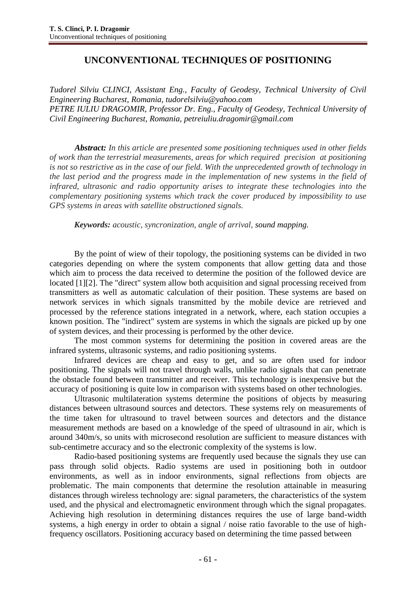## **UNCONVENTIONAL TECHNIQUES OF POSITIONING**

*Tudorel Silviu CLINCI, Assistant Eng., Faculty of Geodesy, Technical University of Civil Engineering Bucharest, Romania, [tudorelsilviu@yahoo.com](mailto:tudorelsilviu@yahoo.com) PETRE IULIU DRAGOMIR, Professor Dr. Eng., Faculty of Geodesy, Technical University of Civil Engineering Bucharest, Romania, [petreiuliu.dragomir@gmail.com](mailto:petreiuliu.dragomir@gmail.com)*

*Abstract: In this article are presented some positioning techniques used in other fields of work than the terrestrial measurements, areas for which required precision at positioning is not so restrictive as in the case of our field. With the unprecedented growth of technology in the last period and the progress made in the implementation of new systems in the field of infrared, ultrasonic and radio opportunity arises to integrate these technologies into the complementary positioning systems which track the cover produced by impossibility to use GPS systems in areas with satellite obstructioned signals.*

*Keywords: acoustic, syncronization, angle of arrival, sound mapping.* 

By the point of wiew of their topology, the positioning systems can be divided in two categories depending on where the system components that allow getting data and those which aim to process the data received to determine the position of the followed device are located [1][2]. The "direct" system allow both acquisition and signal processing received from transmitters as well as automatic calculation of their position. These systems are based on network services in which signals transmitted by the mobile device are retrieved and processed by the reference stations integrated in a network, where, each station occupies a known position. The "indirect" system are systems in which the signals are picked up by one of system devices, and their processing is performed by the other device.

The most common systems for determining the position in covered areas are the infrared systems, ultrasonic systems, and radio positioning systems.

Infrared devices are cheap and easy to get, and so are often used for indoor positioning. The signals will not travel through walls, unlike radio signals that can penetrate the obstacle found between transmitter and receiver. This technology is inexpensive but the accuracy of positioning is quite low in comparison with systems based on other technologies.

Ultrasonic multilateration systems determine the positions of objects by measuring distances between ultrasound sources and detectors. These systems rely on measurements of the time taken for ultrasound to travel between sources and detectors and the distance measurement methods are based on a knowledge of the speed of ultrasound in air, which is around 340m/s, so units with microsecond resolution are sufficient to measure distances with sub-centimetre accuracy and so the electronic complexity of the systems is low.

Radio-based positioning systems are frequently used because the signals they use can pass through solid objects. Radio systems are used in positioning both in outdoor environments, as well as in indoor environments, signal reflections from objects are problematic. The main components that determine the resolution attainable in measuring distances through wireless technology are: signal parameters, the characteristics of the system used, and the physical and electromagnetic environment through which the signal propagates. Achieving high resolution in determining distances requires the use of large band-width systems, a high energy in order to obtain a signal / noise ratio favorable to the use of highfrequency oscillators. Positioning accuracy based on determining the time passed between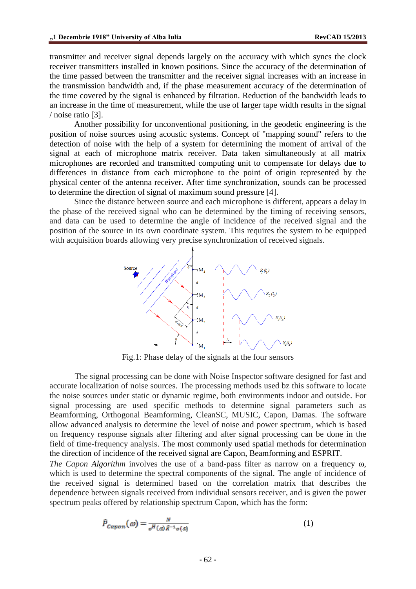transmitter and receiver signal depends largely on the accuracy with which syncs the clock receiver transmitters installed in known positions. Since the accuracy of the determination of the time passed between the transmitter and the receiver signal increases with an increase in the transmission bandwidth and, if the phase measurement accuracy of the determination of the time covered by the signal is enhanced by filtration. Reduction of the bandwidth leads to an increase in the time of measurement, while the use of larger tape width results in the signal / noise ratio [3].

Another possibility for unconventional positioning, in the geodetic engineering is the position of noise sources using acoustic systems. Concept of "mapping sound" refers to the detection of noise with the help of a system for determining the moment of arrival of the signal at each of microphone matrix receiver. Data taken simultaneously at all matrix microphones are recorded and transmitted computing unit to compensate for delays due to differences in distance from each microphone to the point of origin represented by the physical center of the antenna receiver. After time synchronization, sounds can be processed to determine the direction of signal of maximum sound pressure [4].

Since the distance between source and each microphone is different, appears a delay in the phase of the received signal who can be determined by the timing of receiving sensors, and data can be used to determine the angle of incidence of the received signal and the position of the source in its own coordinate system. This requires the system to be equipped with acquisition boards allowing very precise synchronization of received signals.



Fig.1: Phase delay of the signals at the four sensors

The signal processing can be done with Noise Inspector software designed for fast and accurate localization of noise sources. The processing methods used bz this software to locate the noise sources under static or dynamic regime, both environments indoor and outside. For signal processing are used specific methods to determine signal parameters such as Beamforming, Orthogonal Beamforming, CleanSC, MUSIC, Capon, Damas. The software allow advanced analysis to determine the level of noise and power spectrum, which is based on frequency response signals after filtering and after signal processing can be done in the field of time-frequency analysis. The most commonly used spatial methods for determination the direction of incidence of the received signal are Capon, Beamforming and ESPRIT.

*The Capon Algorithm* involves the use of a band-pass filter as narrow on a frequency  $\omega$ , which is used to determine the spectral components of the signal. The angle of incidence of the received signal is determined based on the correlation matrix that describes the dependence between signals received from individual sensors receiver, and is given the power spectrum peaks offered by relationship spectrum Capon, which has the form:

$$
\hat{P}_{Capon}(\omega) = \frac{N}{e^H(\omega)\hat{R}^{-1}\epsilon(\omega)}
$$
\n(1)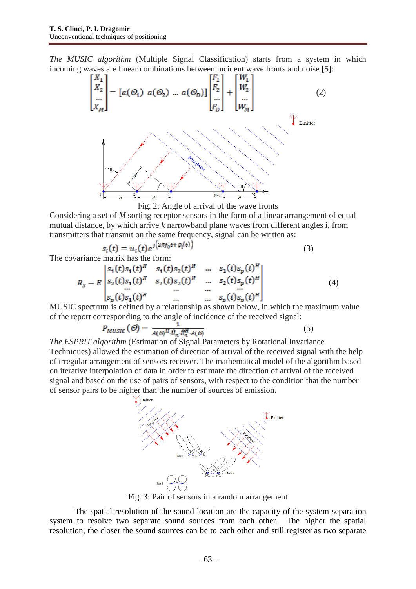*The MUSIC algorithm* (Multiple Signal Classification) starts from a system in which





Considering a set of *M* sorting receptor sensors in the form of a linear arrangement of equal mutual distance, by which arrive *k* narrowband plane waves from different angles i, from transmitters that transmit on the same frequency, signal can be written as:

$$
s_i(t) = u_i(t)e^{j(2\pi f_0 t + \varphi_i(t))}
$$
\n(3)

The covariance matrix has the form:

$$
R_{S} = E \begin{bmatrix} s_{1}(t)s_{1}(t)^{H} & s_{1}(t)s_{2}(t)^{H} & \dots & s_{1}(t)s_{p}(t)^{H} \\ s_{2}(t)s_{1}(t)^{H} & s_{2}(t)s_{2}(t)^{H} & \dots & s_{2}(t)s_{p}(t)^{H} \\ \dots & \dots & \dots & \dots \\ s_{p}(t)s_{1}(t)^{H} & \dots & \dots & s_{p}(t)s_{p}(t)^{H} \end{bmatrix}
$$
(4)

MUSIC spectrum is defined by a relationship as shown below, in which the maximum value of the report corresponding to the angle of incidence of the received signal:

$$
P_{MUSIC}(\Theta) = \frac{1}{A(\Theta)^H \cdot \hat{U}_n \cdot \hat{U}_n^H \cdot A(\Theta)}
$$
(5)

*The ESPRIT algorithm* (Estimation of Signal Parameters by Rotational Invariance Techniques) allowed the estimation of direction of arrival of the received signal with the help of irregular arrangement of sensors receiver. The mathematical model of the algorithm based on iterative interpolation of data in order to estimate the direction of arrival of the received signal and based on the use of pairs of sensors, with respect to the condition that the number of sensor pairs to be higher than the number of sources of emission.



Fig. 3: Pair of sensors in a random arrangement

The spatial resolution of the sound location are the capacity of the system separation system to resolve two separate sound sources from each other. The higher the spatial resolution, the closer the sound sources can be to each other and still register as two separate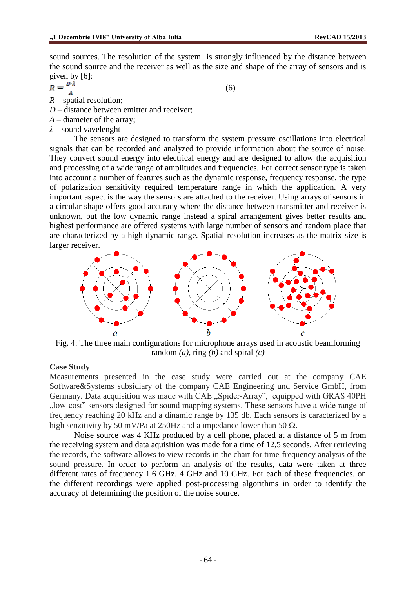sound sources. The resolution of the system is strongly influenced by the distance between the sound source and the receiver as well as the size and shape of the array of sensors and is

given by [6]:<br> $R = \frac{D \cdot \lambda}{A}$ 

(6)

- *R* spatial resolution;
- *D* distance between emitter and receiver;
- *A* diameter of the array;
- *λ* sound vavelenght

The sensors are designed to transform the system pressure oscillations into electrical signals that can be recorded and analyzed to provide information about the source of noise. They convert sound energy into electrical energy and are designed to allow the acquisition and processing of a wide range of amplitudes and frequencies. For correct sensor type is taken into account a number of features such as the dynamic response, frequency response, the type of polarization sensitivity required temperature range in which the application. A very important aspect is the way the sensors are attached to the receiver. Using arrays of sensors in a circular shape offers good accuracy where the distance between transmitter and receiver is unknown, but the low dynamic range instead a spiral arrangement gives better results and highest performance are offered systems with large number of sensors and random place that are characterized by a high dynamic range. Spatial resolution increases as the matrix size is larger receiver.



Fig. 4: The three main configurations for microphone arrays used in acoustic beamforming random *(a),* ring *(b)* and spiral *(c)*

## **Case Study**

Measurements presented in the case study were carried out at the company CAE Software&Systems subsidiary of the company CAE Engineering und Service GmbH, from Germany. Data acquisition was made with CAE "Spider-Array", equipped with GRAS 40PH ", low-cost" sensors designed for sound mapping systems. These sensors have a wide range of frequency reaching 20 kHz and a dinamic range by 135 db. Each sensors is caracterized by a high senzitivity by 50 mV/Pa at 250Hz and a impedance lower than 50  $\Omega$ .

Noise source was 4 KHz produced by a cell phone, placed at a distance of 5 m from the receiving system and data aquisition was made for a time of 12,5 seconds. After retrieving the records, the software allows to view records in the chart for time-frequency analysis of the sound pressure. In order to perform an analysis of the results, data were taken at three different rates of frequency 1.6 GHz, 4 GHz and 10 GHz. For each of these frequencies, on the different recordings were applied post-processing algorithms in order to identify the accuracy of determining the position of the noise source.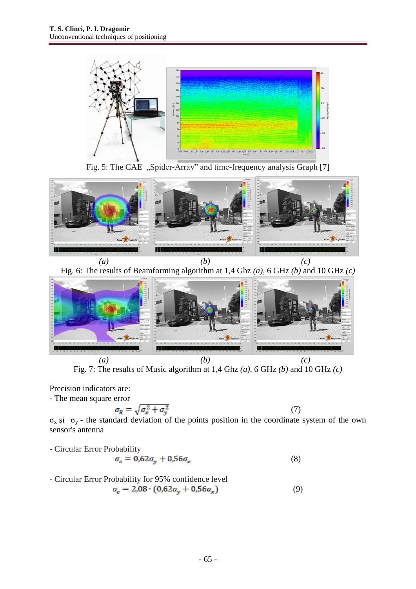

Fig. 5: The CAE "Spider-Array" and time-frequency analysis Graph [7]



*(a) (b) (c)* Fig. 6: The results of Beamforming algorithm at 1,4 Ghz *(a),* 6 GHz *(b)* and 10 GHz *(c)*



Fig. 7: The results of Music algorithm at 1,4 Ghz *(a),* 6 GHz *(b)* and 10 GHz *(c)*

Precision indicators are:

- The mean square error

$$
\sigma_R = \sqrt{\sigma_x^2 + \sigma_y^2}
$$

 $\sigma_x$  și  $\sigma_y$  - the standard deviation of the points position in the coordinate system of the own sensor's antenna

(7)

- Circular Error Probability

$$
\sigma_c = 0.62\sigma_y + 0.56\sigma_x \tag{8}
$$

- Circular Error Probability for 95% confidence level  
\n
$$
\sigma_e = 2.08 \cdot (0.62 \sigma_y + 0.56 \sigma_x)
$$
\n(9)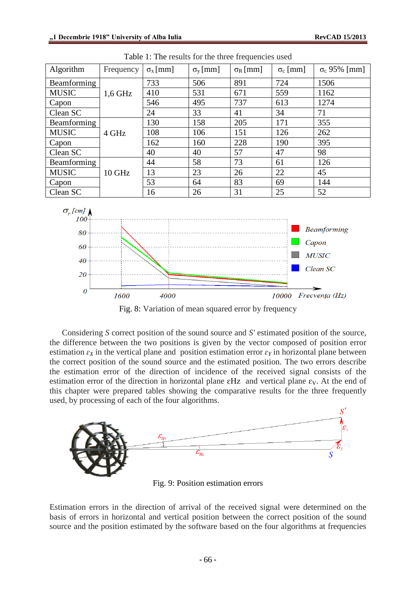| Algorithm    | Frequency | $\sigma_{\rm x}$ [mm] | $\sigma_{\rm v}$ [mm] | $\sigma_{R}$ [mm] | $\sigma_c$ [mm] | $\sigma_c$ 95% [mm] |
|--------------|-----------|-----------------------|-----------------------|-------------------|-----------------|---------------------|
| Beamforming  |           | 733                   | 506                   | 891               | 724             | 1506                |
| <b>MUSIC</b> | $1,6$ GHz | 410                   | 531                   | 671               | 559             | 1162                |
| Capon        |           | 546                   | 495                   | 737               | 613             | 1274                |
| Clean SC     |           | 24                    | 33                    | 41                | 34              | 71                  |
| Beamforming  |           | 130                   | 158                   | 205               | 171             | 355                 |
| <b>MUSIC</b> | 4 GHz     | 108                   | 106                   | 151               | 126             | 262                 |
| Capon        |           | 162                   | 160                   | 228               | 190             | 395                 |
| Clean SC     |           | 40                    | 40                    | 57                | 47              | 98                  |
| Beamforming  |           | 44                    | 58                    | 73                | 61              | 126                 |
| <b>MUSIC</b> | 10 GHz    | 13                    | 23                    | 26                | 22              | 45                  |
| Capon        |           | 53                    | 64                    | 83                | 69              | 144                 |
| Clean SC     |           | 16                    | 26                    | 31                | 25              | 52                  |
|              |           |                       |                       |                   |                 |                     |

Table 1: The results for the three frequencies used



Fig. 8: Variation of mean squared error by frequency

Considering *S* correct position of the sound source and *S'* estimated position of the source, the difference between the two positions is given by the vector composed of position error estimation  $\varepsilon_X$  in the vertical plane and position estimation error  $\varepsilon_Y$  in horizontal plane between the correct position of the sound source and the estimated position. The two errors describe the estimation error of the direction of incidence of the received signal consists of the estimation error of the direction in horizontal plane  $\epsilon$ Hz and vertical plane  $\epsilon$ <sub>V</sub>. At the end of this chapter were prepared tables showing the comparative results for the three frequently used, by processing of each of the four algorithms.



Fig. 9: Position estimation errors

Estimation errors in the direction of arrival of the received signal were determined on the basis of errors in horizontal and vertical position between the correct position of the sound source and the position estimated by the software based on the four algorithms at frequencies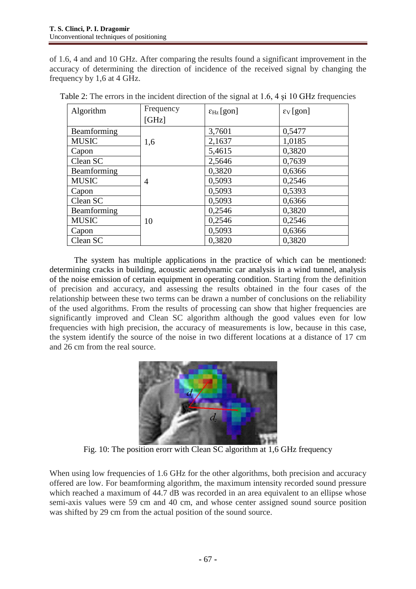of 1.6, 4 and and 10 GHz. After comparing the results found a significant improvement in the accuracy of determining the direction of incidence of the received signal by changing the frequency by 1,6 at 4 GHz.

| Algorithm    | Frequency<br>[GHz] | $\epsilon_{\rm Hz}$ [gon] | $\epsilon_{V}$ [gon] |
|--------------|--------------------|---------------------------|----------------------|
| Beamforming  |                    | 3,7601                    | 0,5477               |
| <b>MUSIC</b> | 1,6                | 2,1637                    | 1,0185               |
| Capon        |                    | 5,4615                    | 0,3820               |
| Clean SC     |                    | 2,5646                    | 0,7639               |
| Beamforming  |                    | 0,3820                    | 0,6366               |
| <b>MUSIC</b> | 4                  | 0,5093                    | 0,2546               |
| Capon        |                    | 0,5093                    | 0,5393               |
| Clean SC     |                    | 0,5093                    | 0,6366               |
| Beamforming  |                    | 0,2546                    | 0,3820               |
| <b>MUSIC</b> | 10                 | 0,2546                    | 0,2546               |
| Capon        |                    | 0,5093                    | 0,6366               |
| Clean SC     |                    | 0.3820                    | 0.3820               |

Table 2: The errors in the incident direction of the signal at 1.6, 4 şi 10 GHz frequencies

The system has multiple applications in the practice of which can be mentioned: determining cracks in building, acoustic aerodynamic car analysis in a wind tunnel, analysis of the noise emission of certain equipment in operating condition. Starting from the definition of precision and accuracy, and assessing the results obtained in the four cases of the relationship between these two terms can be drawn a number of conclusions on the reliability of the used algorithms. From the results of processing can show that higher frequencies are significantly improved and Clean SC algorithm although the good values even for low frequencies with high precision, the accuracy of measurements is low, because in this case, the system identify the source of the noise in two different locations at a distance of 17 cm and 26 cm from the real source.



Fig. 10: The position erorr with Clean SC algorithm at 1,6 GHz frequency

When using low frequencies of 1.6 GHz for the other algorithms, both precision and accuracy offered are low. For beamforming algorithm, the maximum intensity recorded sound pressure which reached a maximum of 44.7 dB was recorded in an area equivalent to an ellipse whose semi-axis values were 59 cm and 40 cm, and whose center assigned sound source position was shifted by 29 cm from the actual position of the sound source.